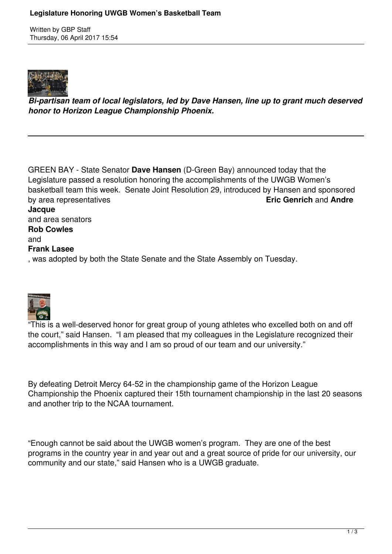Written by GBP Staff Thursday, 06 April 2017 15:54



*Bi-partisan team of local legislators, led by Dave Hansen, line up to grant much deserved honor to Horizon League Championship Phoenix.*

GREEN BAY - State Senator **Dave Hansen** (D-Green Bay) announced today that the Legislature passed a resolution honoring the accomplishments of the UWGB Women's basketball team this week. Senate Joint Resolution 29, introduced by Hansen and sponsored<br> **Eric Genrich** and Andre by area representatives **Jacque** and area senators **Rob Cowles** and **Frank Lasee** , was adopted by both the State Senate and the State Assembly on Tuesday.



"This is a well-deserved honor for great group of young athletes who excelled both on and off the court," said Hansen. "I am pleased that my colleagues in the Legislature recognized their accomplishments in this way and I am so proud of our team and our university."

By defeating Detroit Mercy 64-52 in the championship game of the Horizon League Championship the Phoenix captured their 15th tournament championship in the last 20 seasons and another trip to the NCAA tournament.

"Enough cannot be said about the UWGB women's program. They are one of the best programs in the country year in and year out and a great source of pride for our university, our community and our state," said Hansen who is a UWGB graduate.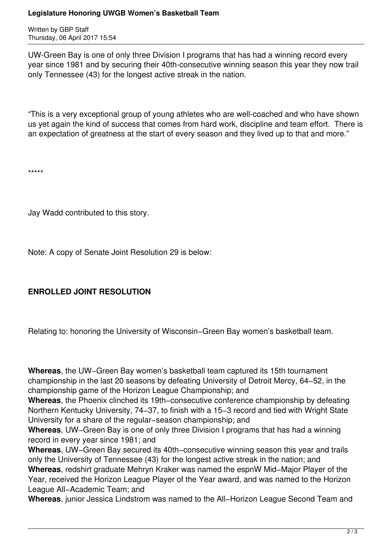## **Legislature Honoring UWGB Women's Basketball Team**

Written by GBP Staff Thursday, 06 April 2017 15:54

UW-Green Bay is one of only three Division I programs that has had a winning record every year since 1981 and by securing their 40th-consecutive winning season this year they now trail only Tennessee (43) for the longest active streak in the nation.

"This is a very exceptional group of young athletes who are well-coached and who have shown us yet again the kind of success that comes from hard work, discipline and team effort. There is an expectation of greatness at the start of every season and they lived up to that and more."

\*\*\*\*\*

Jay Wadd contributed to this story.

Note: A copy of Senate Joint Resolution 29 is below:

## **ENROLLED JOINT RESOLUTION**

Relating to: honoring the University of Wisconsin−Green Bay women's basketball team.

**Whereas**, the UW−Green Bay women's basketball team captured its 15th tournament championship in the last 20 seasons by defeating University of Detroit Mercy, 64−52, in the championship game of the Horizon League Championship; and

**Whereas**, the Phoenix clinched its 19th−consecutive conference championship by defeating Northern Kentucky University, 74−37, to finish with a 15−3 record and tied with Wright State University for a share of the regular−season championship; and

**Whereas**, UW−Green Bay is one of only three Division I programs that has had a winning record in every year since 1981; and

**Whereas**, UW−Green Bay secured its 40th−consecutive winning season this year and trails only the University of Tennessee (43) for the longest active streak in the nation; and

**Whereas**, redshirt graduate Mehryn Kraker was named the espnW Mid−Major Player of the Year, received the Horizon League Player of the Year award, and was named to the Horizon League All−Academic Team; and

**Whereas**, junior Jessica Lindstrom was named to the All−Horizon League Second Team and